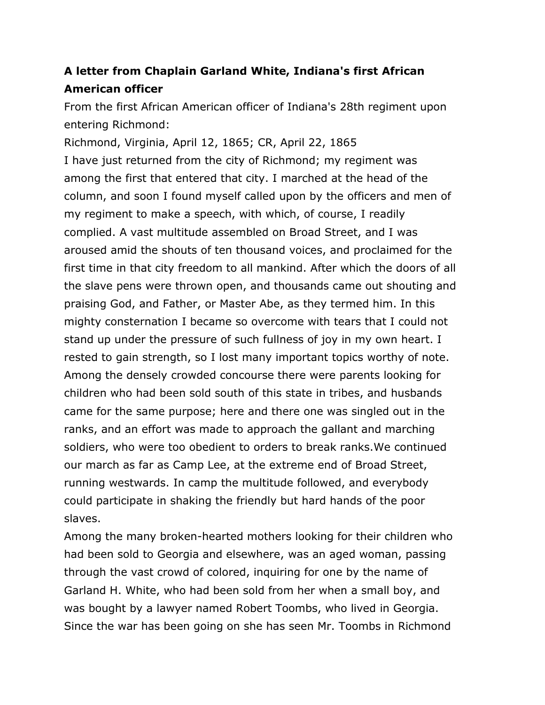## **A letter from Chaplain Garland White, Indiana's first African American officer**

From the first African American officer of Indiana's 28th regiment upon entering Richmond:

Richmond, Virginia, April 12, 1865; CR, April 22, 1865 I have just returned from the city of Richmond; my regiment was among the first that entered that city. I marched at the head of the column, and soon I found myself called upon by the officers and men of my regiment to make a speech, with which, of course, I readily complied. A vast multitude assembled on Broad Street, and I was aroused amid the shouts of ten thousand voices, and proclaimed for the first time in that city freedom to all mankind. After which the doors of all the slave pens were thrown open, and thousands came out shouting and praising God, and Father, or Master Abe, as they termed him. In this mighty consternation I became so overcome with tears that I could not stand up under the pressure of such fullness of joy in my own heart. I rested to gain strength, so I lost many important topics worthy of note. Among the densely crowded concourse there were parents looking for children who had been sold south of this state in tribes, and husbands came for the same purpose; here and there one was singled out in the ranks, and an effort was made to approach the gallant and marching soldiers, who were too obedient to orders to break ranks.We continued our march as far as Camp Lee, at the extreme end of Broad Street, running westwards. In camp the multitude followed, and everybody could participate in shaking the friendly but hard hands of the poor slaves.

Among the many broken-hearted mothers looking for their children who had been sold to Georgia and elsewhere, was an aged woman, passing through the vast crowd of colored, inquiring for one by the name of Garland H. White, who had been sold from her when a small boy, and was bought by a lawyer named Robert Toombs, who lived in Georgia. Since the war has been going on she has seen Mr. Toombs in Richmond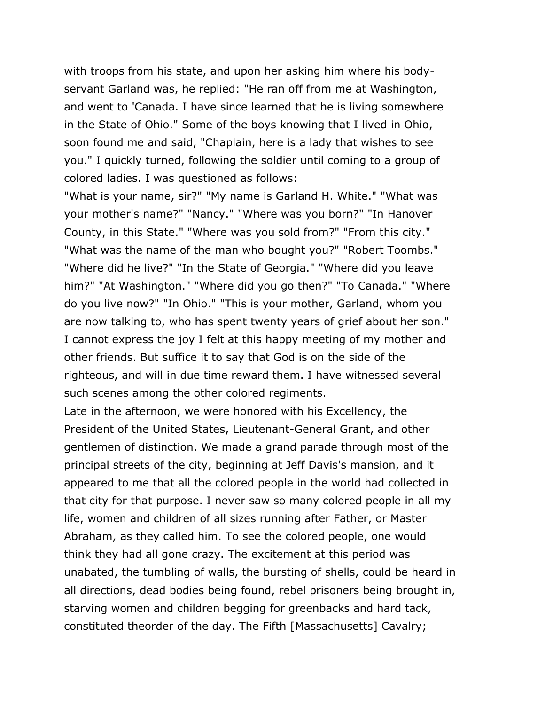with troops from his state, and upon her asking him where his bodyservant Garland was, he replied: "He ran off from me at Washington, and went to 'Canada. I have since learned that he is living somewhere in the State of Ohio." Some of the boys knowing that I lived in Ohio, soon found me and said, "Chaplain, here is a lady that wishes to see you." I quickly turned, following the soldier until coming to a group of colored ladies. I was questioned as follows:

"What is your name, sir?" "My name is Garland H. White." "What was your mother's name?" "Nancy." "Where was you born?" "In Hanover County, in this State." "Where was you sold from?" "From this city." "What was the name of the man who bought you?" "Robert Toombs." "Where did he live?" "In the State of Georgia." "Where did you leave him?" "At Washington." "Where did you go then?" "To Canada." "Where do you live now?" "In Ohio." "This is your mother, Garland, whom you are now talking to, who has spent twenty years of grief about her son." I cannot express the joy I felt at this happy meeting of my mother and other friends. But suffice it to say that God is on the side of the righteous, and will in due time reward them. I have witnessed several such scenes among the other colored regiments.

Late in the afternoon, we were honored with his Excellency, the President of the United States, Lieutenant-General Grant, and other gentlemen of distinction. We made a grand parade through most of the principal streets of the city, beginning at Jeff Davis's mansion, and it appeared to me that all the colored people in the world had collected in that city for that purpose. I never saw so many colored people in all my life, women and children of all sizes running after Father, or Master Abraham, as they called him. To see the colored people, one would think they had all gone crazy. The excitement at this period was unabated, the tumbling of walls, the bursting of shells, could be heard in all directions, dead bodies being found, rebel prisoners being brought in, starving women and children begging for greenbacks and hard tack, constituted theorder of the day. The Fifth [Massachusetts] Cavalry;